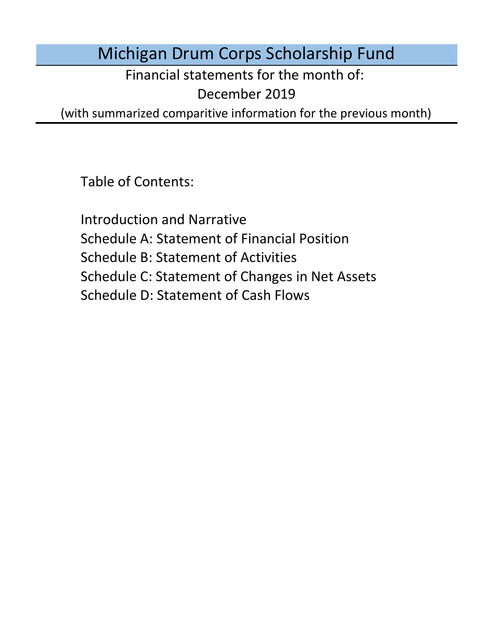Michigan Drum Corps Scholarship Fund

Financial statements for the month of:

December 2019

(with summarized comparitive information for the previous month)

Table of Contents:

Schedule D: Statement of Cash Flows Introduction and Narrative Schedule A: Statement of Financial Position Schedule B: Statement of Activities Schedule C: Statement of Changes in Net Assets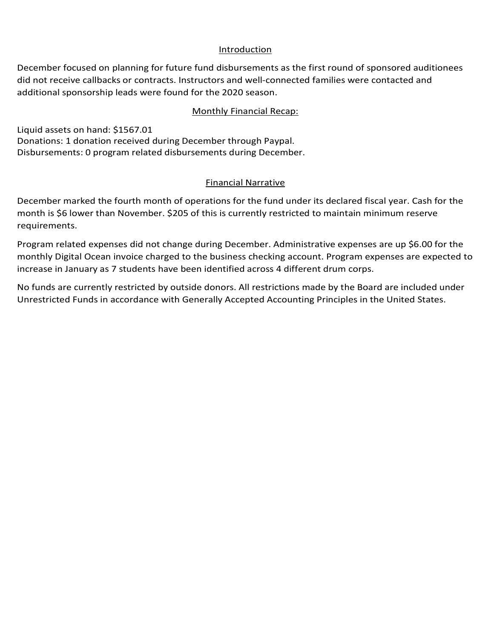## Introduction

December focused on planning for future fund disbursements as the first round of sponsored auditionees did not receive callbacks or contracts. Instructors and well-connected families were contacted and additional sponsorship leads were found for the 2020 season.

### Monthly Financial Recap:

Liquid assets on hand: \$1567.01 Donations: 1 donation received during December through Paypal. Disbursements: 0 program related disbursements during December.

## Financial Narrative

December marked the fourth month of operations for the fund under its declared fiscal year. Cash for the month is \$6 lower than November. \$205 of this is currently restricted to maintain minimum reserve requirements.

Program related expenses did not change during December. Administrative expenses are up \$6.00 for the monthly Digital Ocean invoice charged to the business checking account. Program expenses are expected to increase in January as 7 students have been identified across 4 different drum corps.

No funds are currently restricted by outside donors. All restrictions made by the Board are included under Unrestricted Funds in accordance with Generally Accepted Accounting Principles in the United States.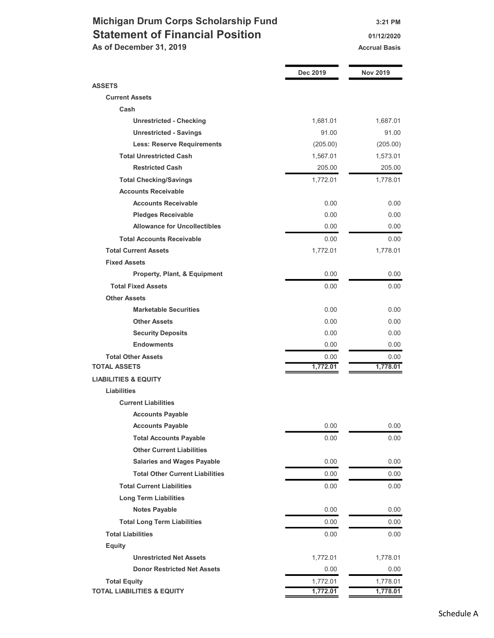## Michigan Drum Corps Scholarship Fund 3:21 PM Statement of Financial Position **Canadian Control** 01/12/2020 As of December 31, 2019 Accrual Basis

|                                                 | Dec 2019 | <b>Nov 2019</b> |
|-------------------------------------------------|----------|-----------------|
| <b>ASSETS</b>                                   |          |                 |
| <b>Current Assets</b>                           |          |                 |
| Cash                                            |          |                 |
| <b>Unrestricted - Checking</b>                  | 1,681.01 | 1,687.01        |
| <b>Unrestricted - Savings</b>                   | 91.00    | 91.00           |
| <b>Less: Reserve Requirements</b>               | (205.00) | (205.00)        |
| <b>Total Unrestricted Cash</b>                  | 1,567.01 | 1,573.01        |
| <b>Restricted Cash</b>                          | 205.00   | 205.00          |
| <b>Total Checking/Savings</b>                   | 1,772.01 | 1,778.01        |
| <b>Accounts Receivable</b>                      |          |                 |
| <b>Accounts Receivable</b>                      | 0.00     | 0.00            |
| <b>Pledges Receivable</b>                       | 0.00     | 0.00            |
| <b>Allowance for Uncollectibles</b>             | 0.00     | 0.00            |
| <b>Total Accounts Receivable</b>                | 0.00     | 0.00            |
| <b>Total Current Assets</b>                     | 1,772.01 | 1,778.01        |
| <b>Fixed Assets</b>                             |          |                 |
| Property, Plant, & Equipment                    | 0.00     | 0.00            |
| <b>Total Fixed Assets</b>                       | 0.00     | 0.00            |
| <b>Other Assets</b>                             |          |                 |
| <b>Marketable Securities</b>                    | 0.00     | 0.00            |
| <b>Other Assets</b>                             | 0.00     | 0.00            |
| <b>Security Deposits</b>                        | 0.00     | 0.00            |
| <b>Endowments</b>                               | 0.00     | 0.00            |
| <b>Total Other Assets</b>                       | 0.00     | 0.00            |
| <b>TOTAL ASSETS</b>                             | 1,772.01 | 1,778.01        |
| <b>LIABILITIES &amp; EQUITY</b>                 |          |                 |
| Liabilities                                     |          |                 |
| <b>Current Liabilities</b>                      |          |                 |
| <b>Accounts Payable</b>                         |          |                 |
| <b>Accounts Payable</b>                         | 0.00     | 0.00            |
| <b>Total Accounts Payable</b>                   | 0.00     | 0.00            |
| <b>Other Current Liabilities</b>                |          |                 |
| <b>Salaries and Wages Payable</b>               | 0.00     | 0.00            |
| <b>Total Other Current Liabilities</b>          | 0.00     | 0.00            |
| <b>Total Current Liabilities</b>                | 0.00     | 0.00            |
| <b>Long Term Liabilities</b>                    |          |                 |
| <b>Notes Payable</b>                            | 0.00     | 0.00            |
| <b>Total Long Term Liabilities</b>              | 0.00     | 0.00            |
| <b>Total Liabilities</b>                        | 0.00     | 0.00            |
|                                                 |          |                 |
| <b>Equity</b><br><b>Unrestricted Net Assets</b> | 1,772.01 | 1,778.01        |
| <b>Donor Restricted Net Assets</b>              | 0.00     | 0.00            |
| <b>Total Equity</b>                             | 1,772.01 | 1,778.01        |
| <b>TOTAL LIABILITIES &amp; EQUITY</b>           | 1,772.01 | 1,778.01        |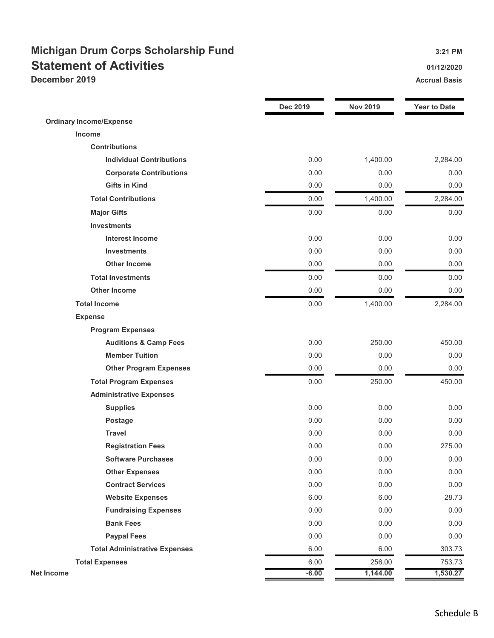## Michigan Drum Corps Scholarship Fund 3:21 PM Statement of Activities **Statement of Activities December 2019** Accrual Basis Accrual Basis Accrual Basis Accrual Basis Accrual Basis

|                                      | Dec 2019 | <b>Nov 2019</b> | <b>Year to Date</b> |
|--------------------------------------|----------|-----------------|---------------------|
| <b>Ordinary Income/Expense</b>       |          |                 |                     |
| Income                               |          |                 |                     |
| <b>Contributions</b>                 |          |                 |                     |
| <b>Individual Contributions</b>      | 0.00     | 1,400.00        | 2,284.00            |
| <b>Corporate Contributions</b>       | 0.00     | 0.00            | 0.00                |
| <b>Gifts in Kind</b>                 | 0.00     | 0.00            | 0.00                |
| <b>Total Contributions</b>           | 0.00     | 1,400.00        | 2,284.00            |
| <b>Major Gifts</b>                   | 0.00     | 0.00            | 0.00                |
| <b>Investments</b>                   |          |                 |                     |
| <b>Interest Income</b>               | 0.00     | 0.00            | 0.00                |
| <b>Investments</b>                   | 0.00     | 0.00            | 0.00                |
| <b>Other Income</b>                  | 0.00     | 0.00            | 0.00                |
| <b>Total Investments</b>             | 0.00     | 0.00            | 0.00                |
| <b>Other Income</b>                  | 0.00     | 0.00            | 0.00                |
| <b>Total Income</b>                  | 0.00     | 1,400.00        | 2,284.00            |
| <b>Expense</b>                       |          |                 |                     |
| <b>Program Expenses</b>              |          |                 |                     |
| <b>Auditions &amp; Camp Fees</b>     | 0.00     | 250.00          | 450.00              |
| <b>Member Tuition</b>                | 0.00     | 0.00            | 0.00                |
| <b>Other Program Expenses</b>        | 0.00     | 0.00            | 0.00                |
| <b>Total Program Expenses</b>        | 0.00     | 250.00          | 450.00              |
| <b>Administrative Expenses</b>       |          |                 |                     |
| <b>Supplies</b>                      | 0.00     | 0.00            | 0.00                |
| <b>Postage</b>                       | 0.00     | 0.00            | 0.00                |
| <b>Travel</b>                        | 0.00     | 0.00            | 0.00                |
| <b>Registration Fees</b>             | 0.00     | 0.00            | 275.00              |
| <b>Software Purchases</b>            | 0.00     | 0.00            | 0.00                |
| <b>Other Expenses</b>                | 0.00     | 0.00            | 0.00                |
| <b>Contract Services</b>             | 0.00     | 0.00            | 0.00                |
| <b>Website Expenses</b>              | 6.00     | 6.00            | 28.73               |
| <b>Fundraising Expenses</b>          | 0.00     | 0.00            | 0.00                |
| <b>Bank Fees</b>                     | 0.00     | 0.00            | 0.00                |
| <b>Paypal Fees</b>                   | 0.00     | 0.00            | 0.00                |
| <b>Total Administrative Expenses</b> | 6.00     | 6.00            | 303.73              |
| <b>Total Expenses</b>                | 6.00     | 256.00          | 753.73              |
| <b>Net Income</b>                    | $-6.00$  | 1,144.00        | 1,530.27            |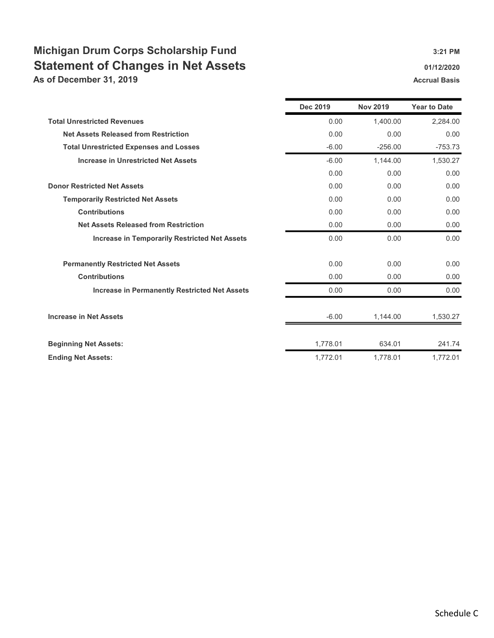# Michigan Drum Corps Scholarship Fund 3:21 PM Statement of Changes in Net Assets **Statement of Changes in Net Assets**

As of December 31, 2019 **Accrual Basis** Accrual Basis Accrual Basis

|                                                      | <b>Dec 2019</b> | <b>Nov 2019</b> | <b>Year to Date</b> |
|------------------------------------------------------|-----------------|-----------------|---------------------|
| <b>Total Unrestricted Revenues</b>                   | 0.00            | 1,400.00        | 2,284.00            |
| <b>Net Assets Released from Restriction</b>          | 0.00            | 0.00            | 0.00                |
| <b>Total Unrestricted Expenses and Losses</b>        | $-6.00$         | $-256.00$       | $-753.73$           |
| <b>Increase in Unrestricted Net Assets</b>           | $-6.00$         | 1,144.00        | 1,530.27            |
|                                                      | 0.00            | 0.00            | 0.00                |
| <b>Donor Restricted Net Assets</b>                   | 0.00            | 0.00            | 0.00                |
| <b>Temporarily Restricted Net Assets</b>             | 0.00            | 0.00            | 0.00                |
| <b>Contributions</b>                                 | 0.00            | 0.00            | 0.00                |
| <b>Net Assets Released from Restriction</b>          | 0.00            | 0.00            | 0.00                |
| <b>Increase in Temporarily Restricted Net Assets</b> | 0.00            | 0.00            | 0.00                |
| <b>Permanently Restricted Net Assets</b>             | 0.00            | 0.00            | 0.00                |
| <b>Contributions</b>                                 | 0.00            | 0.00            | 0.00                |
| <b>Increase in Permanently Restricted Net Assets</b> | 0.00            | 0.00            | 0.00                |
| <b>Increase in Net Assets</b>                        | $-6.00$         | 1,144.00        | 1,530.27            |
| <b>Beginning Net Assets:</b>                         | 1,778.01        | 634.01          | 241.74              |
| <b>Ending Net Assets:</b>                            | 1,772.01        | 1.778.01        | 1,772.01            |